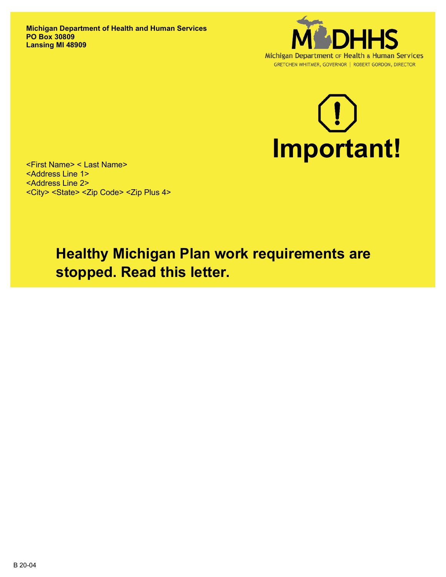**Michigan Department of Health and Human Services PO Box 30809 Lansing MI 48909**





<First Name> < Last Name> <Address Line 1> <Address Line 2> <City> <State> <Zip Code> <Zip Plus 4>

> **Healthy Michigan Plan work requirements are stopped. Read this letter.**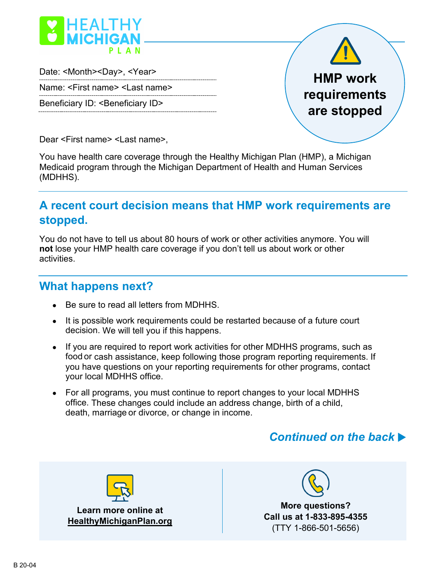

Date: <Month><Day>, <Year>

Name: <First name> <Last name>

Beneficiary ID: <Beneficiary ID>



Dear <First name> <Last name>,

You have health care coverage through the Healthy Michigan Plan (HMP), a Michigan Medicaid program through the Michigan Department of Health and Human Services (MDHHS).

## **A recent court decision means that HMP work requirements are stopped.**

You do not have to tell us about 80 hours of work or other activities anymore. You will **not** lose your HMP health care coverage if you don't tell us about work or other activities.

### **What happens next?**

- Be sure to read all letters from MDHHS.
- It is possible work requirements could be restarted because of a future court decision. We will tell you if this happens.
- If you are required to report work activities for other MDHHS programs, such as food or cash assistance, keep following those program reporting requirements. If you have questions on your reporting requirements for other programs, contact your local MDHHS office.
- For all programs, you must continue to report changes to your local MDHHS office. These changes could include an address change, birth of a child, death, marriage or divorce, or change in income.

# *Continued on the back*

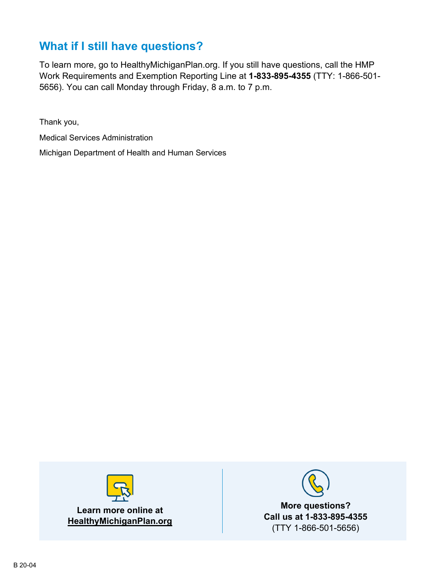# **What if I still have questions?**

To learn more, go to HealthyMichiganPlan.org. If you still have questions, call the HMP Work Requirements and Exemption Reporting Line at **1-833-895-4355** (TTY: 1-866-501- 5656). You can call Monday through Friday, 8 a.m. to 7 p.m.

Thank you,

Medical Services Administration

Michigan Department of Health and Human Services



**Learn more online at HealthyMichiganPlan.org**



**More questions? Call us at 1-833-895-4355** (TTY 1-866-501-5656)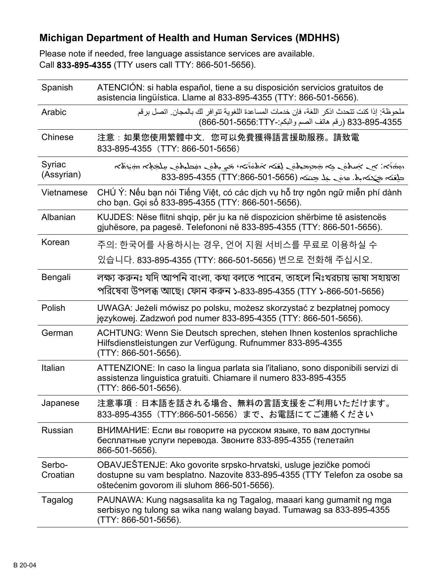### **Michigan Department of Health and Human Services (MDHHS)**

Please note if needed, free language assistance services are available. Call **833-895-4355** (TTY users call TTY: 866-501-5656).

| Spanish              | ATENCIÓN: si habla español, tiene a su disposición servicios gratuitos de<br>asistencia lingüística. Llame al 833-895-4355 (TTY: 866-501-5656).                                               |
|----------------------|-----------------------------------------------------------------------------------------------------------------------------------------------------------------------------------------------|
| Arabic               | ملحوظة· إذا كنت تتحدث اذكر اللغة، فإن خدمات المساعدة اللغوية تتوافر لك بالمجان. اتصل برقم<br>833-895-4355 (رقم هاتف الصم واللكم:-8656:TTY) 866-501-686)                                       |
| Chinese              | 注意:如果您使用繁體中文,您可以免費獲得語言援助服務。請致電<br>833-895-4355 (TTY: 866-501-5656)                                                                                                                            |
| Syriac<br>(Assyrian) | المخترجة المستحملية للمستحق المحامل وتتناء والمتحار المستحدث والمستحر المستحر المحتمد والمستحقق والمستحق والمستحق<br>حلقته جحته باه. عنه حد حتته (TTY:866-501-5656) 833-895-4355              |
| Vietnamese           | CHÚ Ý: Nếu bạn nói Tiếng Việt, có các dịch vụ hỗ trợ ngôn ngữ miễn phí dành<br>cho bạn. Gọi số 833-895-4355 (TTY: 866-501-5656).                                                              |
| Albanian             | KUJDES: Nëse flitni shqip, për ju ka në dispozicion shërbime të asistencës<br>gjuhësore, pa pagesë. Telefononi në 833-895-4355 (TTY: 866-501-5656).                                           |
| Korean               | 주의: 한국어를 사용하시는 경우, 언어 지원 서비스를 무료로 이용하실 수                                                                                                                                                      |
|                      | 있습니다. 833-895-4355 (TTY: 866-501-5656) 번으로 전화해 주십시오.                                                                                                                                          |
| Bengali              | লক্ষ্য করুনঃ যদি আপনি বাংলা, কথা বলতে পারেন, তাহলে নিঃখরচায় ভাষা সহায়তা<br>পরিষেবা উপলব্ধ আছে। ফোন করুন ১-833-895-4355 (TTY ১-866-501-5656)                                                 |
| Polish               | UWAGA: Jeżeli mówisz po polsku, możesz skorzystać z bezpłatnej pomocy<br>językowej. Zadzwoń pod numer 833-895-4355 (TTY: 866-501-5656).                                                       |
| German               | ACHTUNG: Wenn Sie Deutsch sprechen, stehen Ihnen kostenlos sprachliche<br>Hilfsdienstleistungen zur Verfügung. Rufnummer 833-895-4355<br>(TTY: 866-501-5656).                                 |
| Italian              | ATTENZIONE: In caso la lingua parlata sia l'italiano, sono disponibili servizi di<br>assistenza linguistica gratuiti. Chiamare il numero 833-895-4355<br>(TTY: 866-501-5656).                 |
| Japanese             | 注意事項:日本語を話される場合、無料の言語支援をご利用いただけます。<br>833-895-4355 (TTY:866-501-5656) まで、お電話にてご連絡ください                                                                                                         |
| Russian              | ВНИМАНИЕ: Если вы говорите на русском языке, то вам доступны<br>бесплатные услуги перевода. Звоните 833-895-4355 (телетайп<br>866-501-5656).                                                  |
| Serbo-<br>Croatian   | OBAVJEŠTENJE: Ako govorite srpsko-hrvatski, usluge jezičke pomoći<br>dostupne su vam besplatno. Nazovite 833-895-4355 (TTY Telefon za osobe sa<br>oštećenim govorom ili sluhom 866-501-5656). |
| Tagalog              | PAUNAWA: Kung nagsasalita ka ng Tagalog, maaari kang gumamit ng mga<br>serbisyo ng tulong sa wika nang walang bayad. Tumawag sa 833-895-4355<br>(TTY: 866-501-5656).                          |